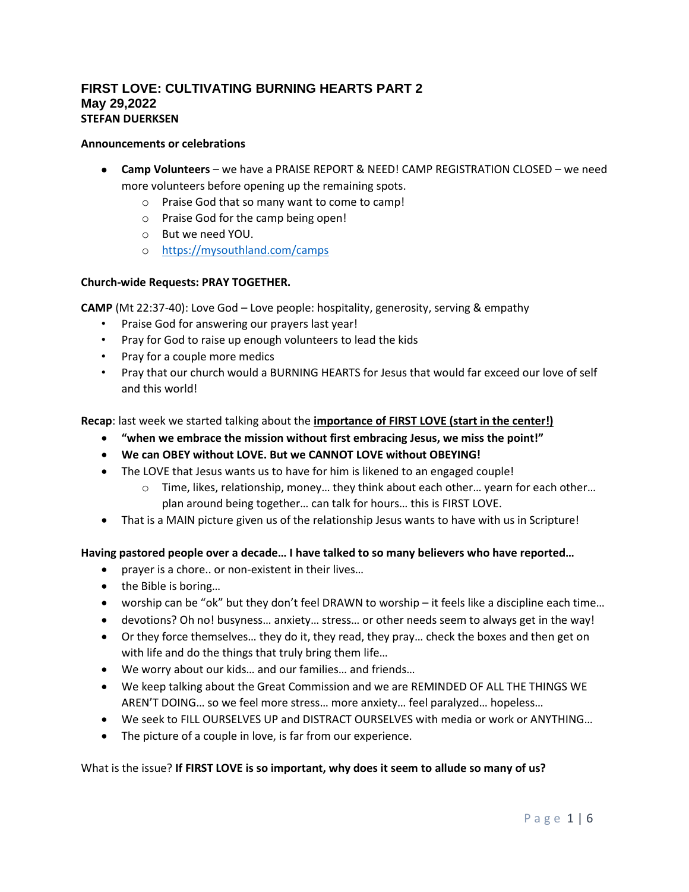## **FIRST LOVE: CULTIVATING BURNING HEARTS PART 2 May 29,2022 STEFAN DUERKSEN**

#### **Announcements or celebrations**

- **Camp Volunteers** we have a PRAISE REPORT & NEED! CAMP REGISTRATION CLOSED we need more volunteers before opening up the remaining spots.
	- o Praise God that so many want to come to camp!
	- o Praise God for the camp being open!
	- o But we need YOU.
	- o <https://mysouthland.com/camps>

#### **Church-wide Requests: PRAY TOGETHER.**

**CAMP** (Mt 22:37-40): Love God – Love people: hospitality, generosity, serving & empathy

- Praise God for answering our prayers last year!
- Pray for God to raise up enough volunteers to lead the kids
- Pray for a couple more medics
- Pray that our church would a BURNING HEARTS for Jesus that would far exceed our love of self and this world!

**Recap**: last week we started talking about the **importance of FIRST LOVE (start in the center!)**

- **"when we embrace the mission without first embracing Jesus, we miss the point!"**
- **We can OBEY without LOVE. But we CANNOT LOVE without OBEYING!**
- The LOVE that Jesus wants us to have for him is likened to an engaged couple!
	- o Time, likes, relationship, money… they think about each other… yearn for each other… plan around being together… can talk for hours… this is FIRST LOVE.
- That is a MAIN picture given us of the relationship Jesus wants to have with us in Scripture!

#### **Having pastored people over a decade… I have talked to so many believers who have reported…**

- prayer is a chore.. or non-existent in their lives…
- the Bible is boring...
- worship can be "ok" but they don't feel DRAWN to worship it feels like a discipline each time…
- devotions? Oh no! busyness… anxiety… stress… or other needs seem to always get in the way!
- Or they force themselves… they do it, they read, they pray… check the boxes and then get on with life and do the things that truly bring them life...
- We worry about our kids… and our families… and friends…
- We keep talking about the Great Commission and we are REMINDED OF ALL THE THINGS WE AREN'T DOING… so we feel more stress… more anxiety… feel paralyzed… hopeless…
- We seek to FILL OURSELVES UP and DISTRACT OURSELVES with media or work or ANYTHING…
- The picture of a couple in love, is far from our experience.

#### What is the issue? **If FIRST LOVE is so important, why does it seem to allude so many of us?**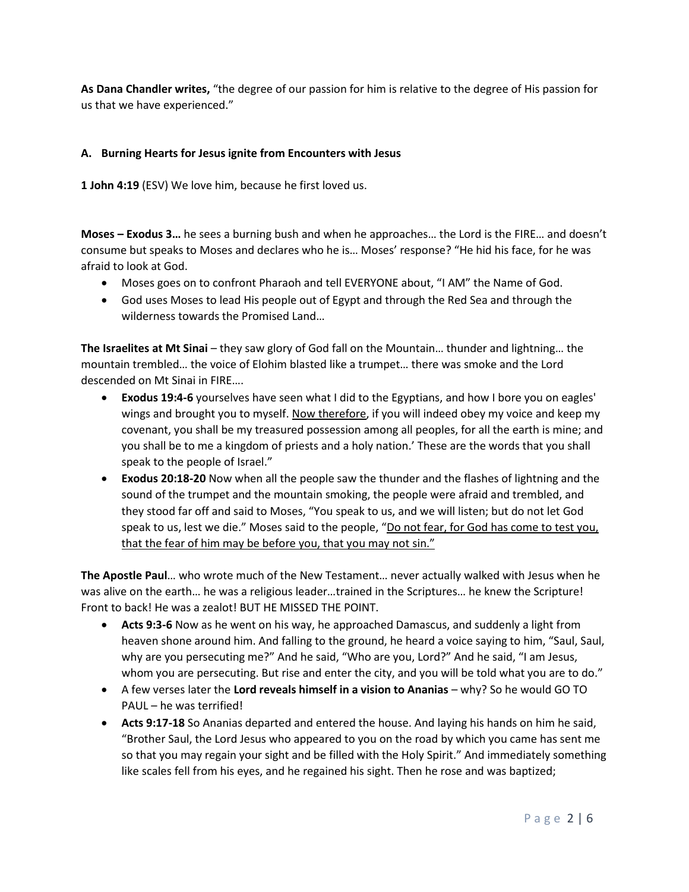**As Dana Chandler writes,** "the degree of our passion for him is relative to the degree of His passion for us that we have experienced."

### **A. Burning Hearts for Jesus ignite from Encounters with Jesus**

**1 John 4:19** (ESV) We love him, because he first loved us.

**Moses – Exodus 3…** he sees a burning bush and when he approaches… the Lord is the FIRE… and doesn't consume but speaks to Moses and declares who he is… Moses' response? "He hid his face, for he was afraid to look at God.

- Moses goes on to confront Pharaoh and tell EVERYONE about, "I AM" the Name of God.
- God uses Moses to lead His people out of Egypt and through the Red Sea and through the wilderness towards the Promised Land…

**The Israelites at Mt Sinai** – they saw glory of God fall on the Mountain… thunder and lightning… the mountain trembled… the voice of Elohim blasted like a trumpet… there was smoke and the Lord descended on Mt Sinai in FIRE….

- **Exodus 19:4-6** yourselves have seen what I did to the Egyptians, and how I bore you on eagles' wings and brought you to myself. Now therefore, if you will indeed obey my voice and keep my covenant, you shall be my treasured possession among all peoples, for all the earth is mine; and you shall be to me a kingdom of priests and a holy nation.' These are the words that you shall speak to the people of Israel."
- **Exodus 20:18-20** Now when all the people saw the thunder and the flashes of lightning and the sound of the trumpet and the mountain smoking, the people were afraid and trembled, and they stood far off and said to Moses, "You speak to us, and we will listen; but do not let God speak to us, lest we die." Moses said to the people, "Do not fear, for God has come to test you, that the fear of him may be before you, that you may not sin."

**The Apostle Paul**… who wrote much of the New Testament… never actually walked with Jesus when he was alive on the earth... he was a religious leader...trained in the Scriptures... he knew the Scripture! Front to back! He was a zealot! BUT HE MISSED THE POINT.

- **Acts 9:3-6** Now as he went on his way, he approached Damascus, and suddenly a light from heaven shone around him. And falling to the ground, he heard a voice saying to him, "Saul, Saul, why are you persecuting me?" And he said, "Who are you, Lord?" And he said, "I am Jesus, whom you are persecuting. But rise and enter the city, and you will be told what you are to do."
- A few verses later the **Lord reveals himself in a vision to Ananias** why? So he would GO TO PAUL – he was terrified!
- **Acts 9:17-18** So Ananias departed and entered the house. And laying his hands on him he said, "Brother Saul, the Lord Jesus who appeared to you on the road by which you came has sent me so that you may regain your sight and be filled with the Holy Spirit." And immediately something like scales fell from his eyes, and he regained his sight. Then he rose and was baptized;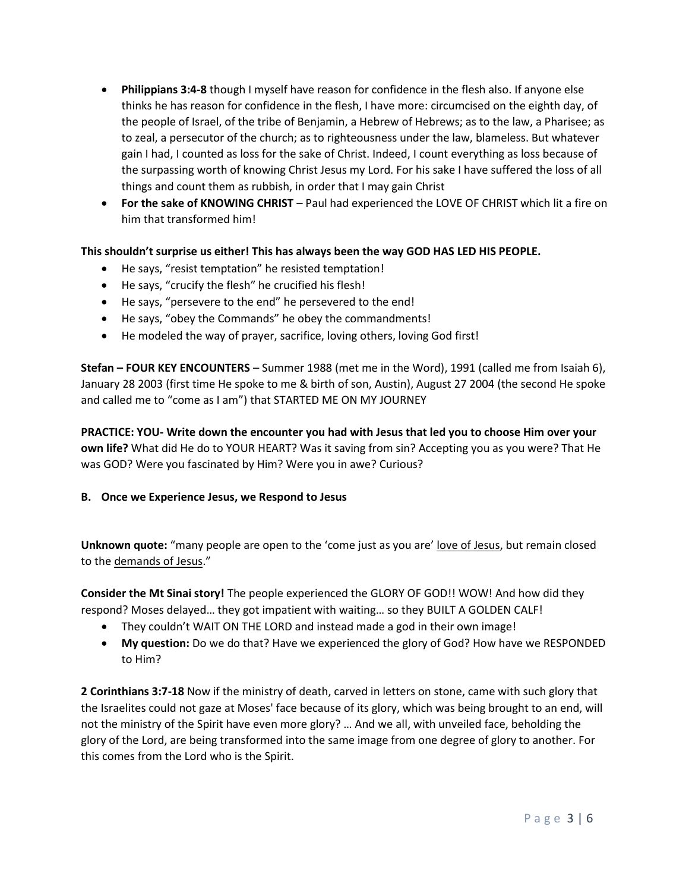- **Philippians 3:4-8** though I myself have reason for confidence in the flesh also. If anyone else thinks he has reason for confidence in the flesh, I have more: circumcised on the eighth day, of the people of Israel, of the tribe of Benjamin, a Hebrew of Hebrews; as to the law, a Pharisee; as to zeal, a persecutor of the church; as to righteousness under the law, blameless. But whatever gain I had, I counted as loss for the sake of Christ. Indeed, I count everything as loss because of the surpassing worth of knowing Christ Jesus my Lord. For his sake I have suffered the loss of all things and count them as rubbish, in order that I may gain Christ
- **For the sake of KNOWING CHRIST** Paul had experienced the LOVE OF CHRIST which lit a fire on him that transformed him!

## **This shouldn't surprise us either! This has always been the way GOD HAS LED HIS PEOPLE.**

- He says, "resist temptation" he resisted temptation!
- He says, "crucify the flesh" he crucified his flesh!
- He says, "persevere to the end" he persevered to the end!
- He says, "obey the Commands" he obey the commandments!
- He modeled the way of prayer, sacrifice, loving others, loving God first!

**Stefan – FOUR KEY ENCOUNTERS** – Summer 1988 (met me in the Word), 1991 (called me from Isaiah 6), January 28 2003 (first time He spoke to me & birth of son, Austin), August 27 2004 (the second He spoke and called me to "come as I am") that STARTED ME ON MY JOURNEY

**PRACTICE: YOU- Write down the encounter you had with Jesus that led you to choose Him over your own life?** What did He do to YOUR HEART? Was it saving from sin? Accepting you as you were? That He was GOD? Were you fascinated by Him? Were you in awe? Curious?

#### **B. Once we Experience Jesus, we Respond to Jesus**

**Unknown quote:** "many people are open to the 'come just as you are' love of Jesus, but remain closed to the demands of Jesus."

**Consider the Mt Sinai story!** The people experienced the GLORY OF GOD!! WOW! And how did they respond? Moses delayed… they got impatient with waiting… so they BUILT A GOLDEN CALF!

- They couldn't WAIT ON THE LORD and instead made a god in their own image!
- **My question:** Do we do that? Have we experienced the glory of God? How have we RESPONDED to Him?

**2 Corinthians 3:7-18** Now if the ministry of death, carved in letters on stone, came with such glory that the Israelites could not gaze at Moses' face because of its glory, which was being brought to an end, will not the ministry of the Spirit have even more glory? … And we all, with unveiled face, beholding the glory of the Lord, are being transformed into the same image from one degree of glory to another. For this comes from the Lord who is the Spirit.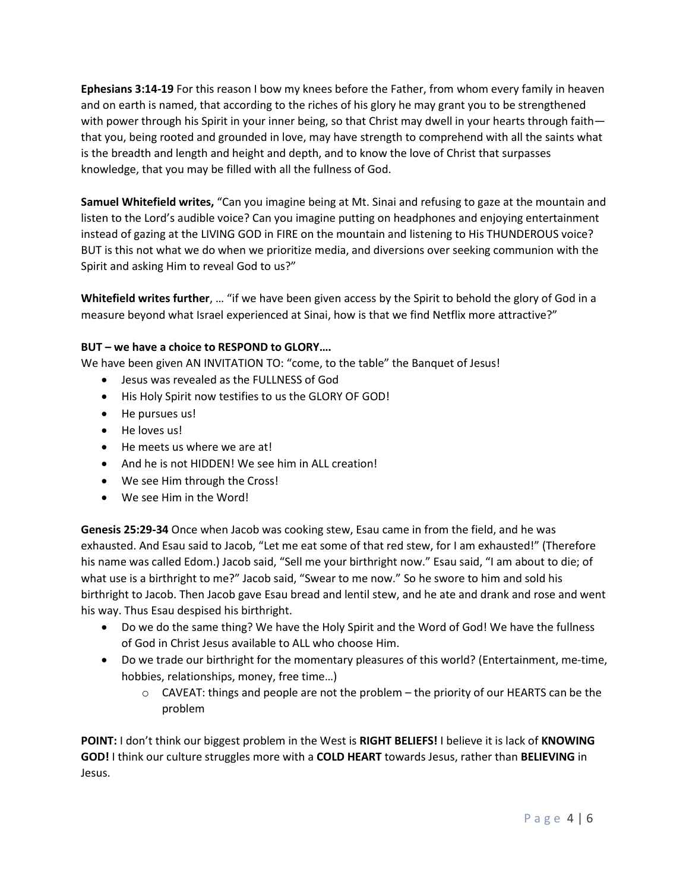**Ephesians 3:14-19** For this reason I bow my knees before the Father, from whom every family in heaven and on earth is named, that according to the riches of his glory he may grant you to be strengthened with power through his Spirit in your inner being, so that Christ may dwell in your hearts through faith that you, being rooted and grounded in love, may have strength to comprehend with all the saints what is the breadth and length and height and depth, and to know the love of Christ that surpasses knowledge, that you may be filled with all the fullness of God.

**Samuel Whitefield writes,** "Can you imagine being at Mt. Sinai and refusing to gaze at the mountain and listen to the Lord's audible voice? Can you imagine putting on headphones and enjoying entertainment instead of gazing at the LIVING GOD in FIRE on the mountain and listening to His THUNDEROUS voice? BUT is this not what we do when we prioritize media, and diversions over seeking communion with the Spirit and asking Him to reveal God to us?"

**Whitefield writes further**, … "if we have been given access by the Spirit to behold the glory of God in a measure beyond what Israel experienced at Sinai, how is that we find Netflix more attractive?"

### **BUT – we have a choice to RESPOND to GLORY….**

We have been given AN INVITATION TO: "come, to the table" the Banquet of Jesus!

- Jesus was revealed as the FULLNESS of God
- His Holy Spirit now testifies to us the GLORY OF GOD!
- He pursues us!
- He loves us!
- He meets us where we are at!
- And he is not HIDDEN! We see him in ALL creation!
- We see Him through the Cross!
- We see Him in the Word!

**Genesis 25:29-34** Once when Jacob was cooking stew, Esau came in from the field, and he was exhausted. And Esau said to Jacob, "Let me eat some of that red stew, for I am exhausted!" (Therefore his name was called Edom.) Jacob said, "Sell me your birthright now." Esau said, "I am about to die; of what use is a birthright to me?" Jacob said, "Swear to me now." So he swore to him and sold his birthright to Jacob. Then Jacob gave Esau bread and lentil stew, and he ate and drank and rose and went his way. Thus Esau despised his birthright.

- Do we do the same thing? We have the Holy Spirit and the Word of God! We have the fullness of God in Christ Jesus available to ALL who choose Him.
- Do we trade our birthright for the momentary pleasures of this world? (Entertainment, me-time, hobbies, relationships, money, free time…)
	- $\circ$  CAVEAT: things and people are not the problem the priority of our HEARTS can be the problem

**POINT:** I don't think our biggest problem in the West is **RIGHT BELIEFS!** I believe it is lack of **KNOWING GOD!** I think our culture struggles more with a **COLD HEART** towards Jesus, rather than **BELIEVING** in Jesus.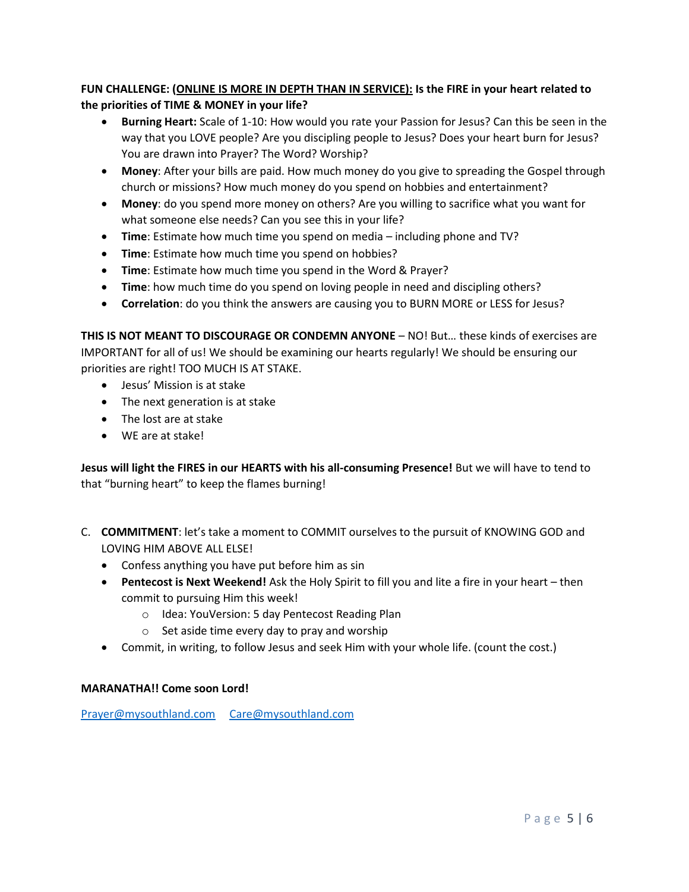# **FUN CHALLENGE: (ONLINE IS MORE IN DEPTH THAN IN SERVICE): Is the FIRE in your heart related to the priorities of TIME & MONEY in your life?**

- **Burning Heart:** Scale of 1-10: How would you rate your Passion for Jesus? Can this be seen in the way that you LOVE people? Are you discipling people to Jesus? Does your heart burn for Jesus? You are drawn into Prayer? The Word? Worship?
- **Money**: After your bills are paid. How much money do you give to spreading the Gospel through church or missions? How much money do you spend on hobbies and entertainment?
- **Money**: do you spend more money on others? Are you willing to sacrifice what you want for what someone else needs? Can you see this in your life?
- **Time**: Estimate how much time you spend on media including phone and TV?
- **Time**: Estimate how much time you spend on hobbies?
- **Time**: Estimate how much time you spend in the Word & Prayer?
- **Time**: how much time do you spend on loving people in need and discipling others?
- **Correlation**: do you think the answers are causing you to BURN MORE or LESS for Jesus?

**THIS IS NOT MEANT TO DISCOURAGE OR CONDEMN ANYONE** – NO! But… these kinds of exercises are IMPORTANT for all of us! We should be examining our hearts regularly! We should be ensuring our priorities are right! TOO MUCH IS AT STAKE.

- Jesus' Mission is at stake
- The next generation is at stake
- The lost are at stake
- WE are at stake!

**Jesus will light the FIRES in our HEARTS with his all-consuming Presence!** But we will have to tend to that "burning heart" to keep the flames burning!

- C. **COMMITMENT**: let's take a moment to COMMIT ourselves to the pursuit of KNOWING GOD and LOVING HIM ABOVE ALL ELSE!
	- Confess anything you have put before him as sin
	- **Pentecost is Next Weekend!** Ask the Holy Spirit to fill you and lite a fire in your heart then commit to pursuing Him this week!
		- o Idea: YouVersion: 5 day Pentecost Reading Plan
		- o Set aside time every day to pray and worship
	- Commit, in writing, to follow Jesus and seek Him with your whole life. (count the cost.)

## **MARANATHA!! Come soon Lord!**

[Prayer@mysouthland.com](mailto:Prayer@mysouthland.com) [Care@mysouthland.com](mailto:Care@mysouthland.com)